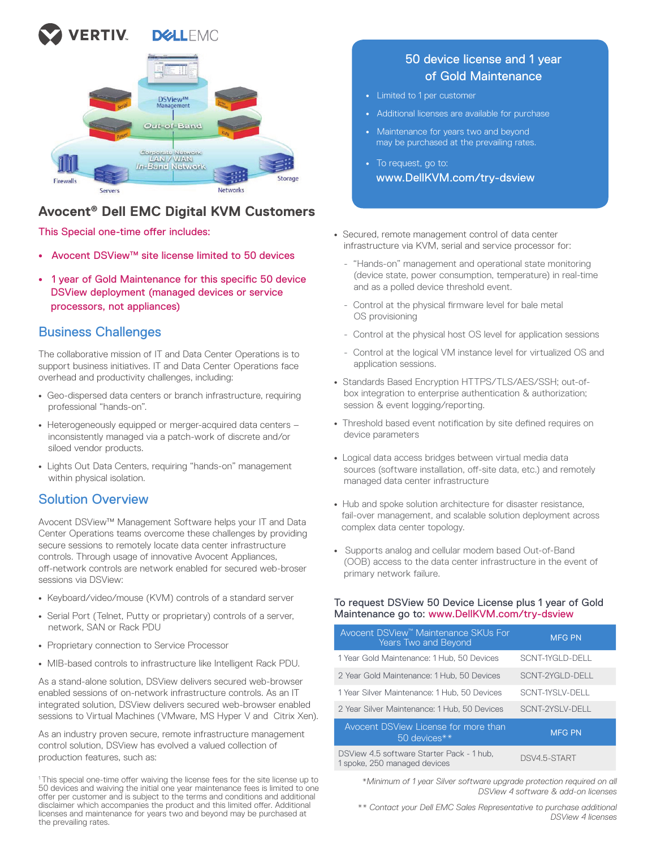



# **Avocent® Dell EMC Digital KVM Customers**

This Special one-time offer includes:

- Avocent DSView™ site license limited to 50 devices
- 1 year of Gold Maintenance for this specific 50 device DSView deployment (managed devices or service processors, not appliances)

## Business Challenges

The collaborative mission of IT and Data Center Operations is to support business initiatives. IT and Data Center Operations face overhead and productivity challenges, including:

- Geo-dispersed data centers or branch infrastructure, requiring professional "hands-on".
- Heterogeneously equipped or merger-acquired data centers inconsistently managed via a patch-work of discrete and/or siloed vendor products.
- Lights Out Data Centers, requiring "hands-on" management within physical isolation.

## Solution Overview

Avocent DSView™ Management Software helps your IT and Data Center Operations teams overcome these challenges by providing secure sessions to remotely locate data center infrastructure controls. Through usage of innovative Avocent Appliances, off -network controls are network enabled for secured web-broser sessions via DSView:

- Keyboard/video/mouse (KVM) controls of a standard server
- Serial Port (Telnet, Putty or proprietary) controls of a server, network, SAN or Rack PDU
- Proprietary connection to Service Processor
- MIB-based controls to infrastructure like Intelligent Rack PDU.

As a stand-alone solution, DSView delivers secured web-browser enabled sessions of on-network infrastructure controls. As an IT integrated solution, DSView delivers secured web-browser enabled sessions to Virtual Machines (VMware, MS Hyper V and Citrix Xen).

As an industry proven secure, remote infrastructure management control solution, DSView has evolved a valued collection of production features, such as:

<sup>1</sup>This special one-time offer waiving the license fees for the site license up to 50 devices and waiving the initial one year maintenance fees is limited to one offer per customer and is subject to the terms and conditions and additional disclaimer which accompanies the product and this limited offer. Additional licenses and maintenance for years two and beyond may be purchased at the prevailing rates.

## 50 device license and 1 year of Gold Maintenance

- Limited to 1 per customer
- Additional licenses are available for purchase
- Maintenance for years two and beyond may be purchased at the prevailing rates.
- To request, go to: www.DellKVM.com/try-dsview
- Secured, remote management control of data center infrastructure via KVM, serial and service processor for:
	- "Hands-on" management and operational state monitoring (device state, power consumption, temperature) in real-time and as a polled device threshold event.
	- Control at the physical firmware level for bale metal OS provisioning
	- Control at the physical host OS level for application sessions
	- Control at the logical VM instance level for virtualized OS and application sessions.
- Standards Based Encryption HTTPS/TLS/AES/SSH; out-of box integration to enterprise authentication & authorization; session & event logging/reporting.
- Threshold based event notification by site defined requires on device parameters
- Logical data access bridges between virtual media data sources (software installation, off-site data, etc.) and remotely managed data center infrastructure
- Hub and spoke solution architecture for disaster resistance, fail-over management, and scalable solution deployment across complex data center topology.
- Supports analog and cellular modem based Out-of-Band (OOB) access to the data center infrastructure in the event of primary network failure.

#### To request DSView 50 Device License plus 1 year of Gold Maintenance go to: www.DellKVM.com/try-dsview

| Avocent DSView <sup>™</sup> Maintenance SKUs For<br><b>Years Two and Beyond</b> | <b>MFG PN</b>   |
|---------------------------------------------------------------------------------|-----------------|
| 1 Year Gold Maintenance: 1 Hub, 50 Devices                                      | SCNT-1YGLD-DELL |
| 2 Year Gold Maintenance: 1 Hub, 50 Devices                                      | SCNT-2YGLD-DELL |
| 1 Year Silver Maintenance: 1 Hub. 50 Devices                                    | SCNT-1YSLV-DELL |
| 2 Year Silver Maintenance: 1 Hub. 50 Devices                                    | SCNT-2YSLV-DELL |
| Avocent DSView License for more than<br>50 devices**                            | <b>MFG PN</b>   |
| DSView 4.5 software Starter Pack - 1 hub,<br>1 spoke, 250 managed devices       | DSV4.5-START    |

*\*Minimum of 1 year Silver software upgrade protection required on all DSView 4 software & add-on licenses*

*\*\* Contact your Dell EMC Sales Representative to purchase additional DSView 4 licenses*